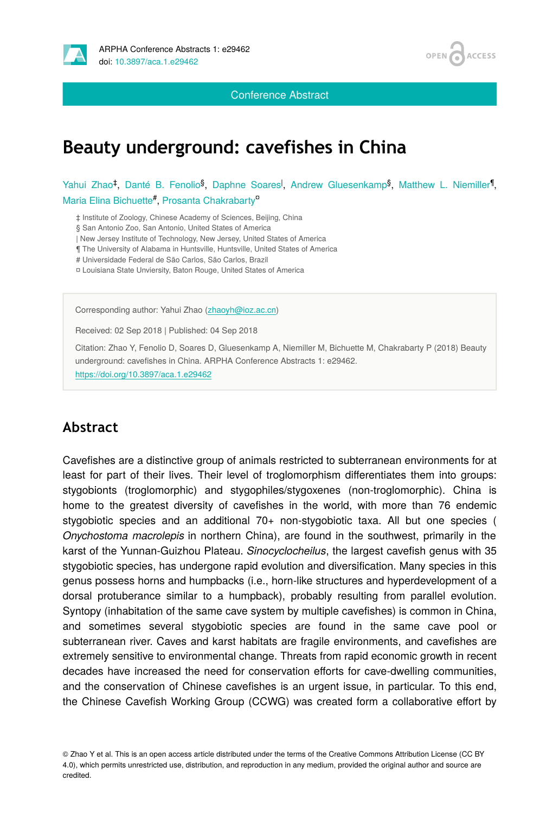

Conference Abstract



# **Beauty underground: cavefishes in China**

Yahui Zhao<sup>‡</sup>, Danté B. Fenolio<sup>§</sup>, Daphne Soares<sup>l</sup>, Andrew Gluesenkamp<sup>§</sup>, Matthew L. Niemiller<sup>¶</sup>, Maria Elina Bichuette#, Prosanta Chakrabarty<sup>o</sup>

‡ Institute of Zoology, Chinese Academy of Sciences, Beijing, China

§ San Antonio Zoo, San Antonio, United States of America

| New Jersey Institute of Technology, New Jersey, United States of America

¶ The University of Alabama in Huntsville, Huntsville, United States of America

# Universidade Federal de São Carlos, São Carlos, Brazil

¤ Louisiana State Unviersity, Baton Rouge, United States of America

Corresponding author: Yahui Zhao ([zhaoyh@ioz.ac.cn\)](mailto:zhaoyh@ioz.ac.cn)

Received: 02 Sep 2018 | Published: 04 Sep 2018

Citation: Zhao Y, Fenolio D, Soares D, Gluesenkamp A, Niemiller M, Bichuette M, Chakrabarty P (2018) Beauty underground: cavefishes in China. ARPHA Conference Abstracts 1: e29462. <https://doi.org/10.3897/aca.1.e29462>

#### **Abstract**

Cavefishes are a distinctive group of animals restricted to subterranean environments for at least for part of their lives. Their level of troglomorphism differentiates them into groups: stygobionts (troglomorphic) and stygophiles/stygoxenes (non-troglomorphic). China is home to the greatest diversity of cavefishes in the world, with more than 76 endemic stygobiotic species and an additional 70+ non-stygobiotic taxa. All but one species ( *Onychostoma macrolepis* in northern China), are found in the southwest, primarily in the karst of the Yunnan-Guizhou Plateau. *Sinocyclocheilus*, the largest cavefish genus with 35 stygobiotic species, has undergone rapid evolution and diversification. Many species in this genus possess horns and humpbacks (i.e., horn-like structures and hyperdevelopment of a dorsal protuberance similar to a humpback), probably resulting from parallel evolution. Syntopy (inhabitation of the same cave system by multiple cavefishes) is common in China, and sometimes several stygobiotic species are found in the same cave pool or subterranean river. Caves and karst habitats are fragile environments, and cavefishes are extremely sensitive to environmental change. Threats from rapid economic growth in recent decades have increased the need for conservation efforts for cave-dwelling communities, and the conservation of Chinese cavefishes is an urgent issue, in particular. To this end, the Chinese Cavefish Working Group (CCWG) was created form a collaborative effort by

© Zhao Y et al. This is an open access article distributed under the terms of the Creative Commons Attribution License (CC BY 4.0), which permits unrestricted use, distribution, and reproduction in any medium, provided the original author and source are credited.